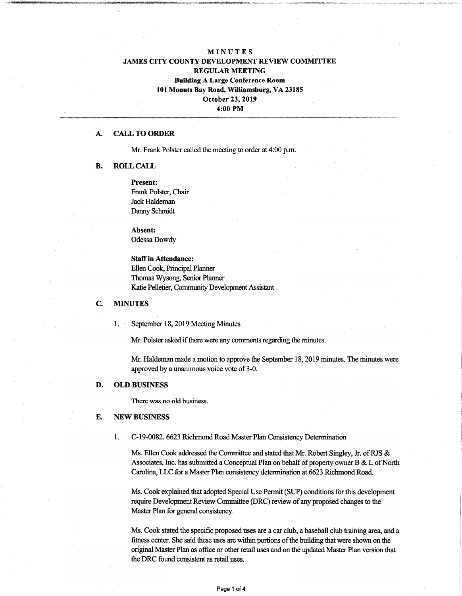# MINUTES JAMES CITY COUNTY DEVELOPMENT REVIEW COMMITTEE REGULAR MEETING Building A Large Conference Room **101** Mounts Bay Road, Williamsburg, VA 23185 October 23, 2019 **4:00** PM

#### A. CALL **TO ORDER**

Mr. Frank Polster called the meeting to order at 4:00 p.m.

#### **B. ROLL** CALL

**Present:** Frank Polster, Chair Jack Haldeman Danny Schmidt

**Absent:** Odessa Dowdy

**Staffin Attendance:** Ellen Cook, Principal Planner Thomas Wysong, Senior Planner Katie Pelletier, Community Development Assistant

## C. **MINUTES**

1. September 18,2019 Meeting Minutes

Mr. Polster asked if there were any comments regarding the minutes.

Mr. Haldeman made amotion to approve the September 18,2019 minutes. The minutes were approved by a unanimous voice vote of 3-0.

### D. **OLD BUSINESS**

There was no old business.

## E. NEW **BUSINESS**

1. C-19-0082.6623 Richmond Road Master Plan Consistency Determination

Ms. Ellen Cook addressed the Committee and stated that Mr. Robert Singley, Jr. of RJS & Associates, Inc. has submitted a Conceptual Plan on behalf of property owner B  $&L$  of North Carolina, LLC for a Master Plan consistency determination at 6623 Richmond Road.

Ms. Cook explained that adopted Special Use Permit (SUP) conditions forthis development require Development Review Committee (DRC) review of any proposed changes to the Master Plan for general consistency.

Ms. Cook stated the specific proposed uses are a car club, a baseball club training area, and a fitness center. She said these uses are within portions of the building that were shown on the original Master Plan as office or other retail uses and on the updated Master Plan version that the DRC found consistent as retail uses.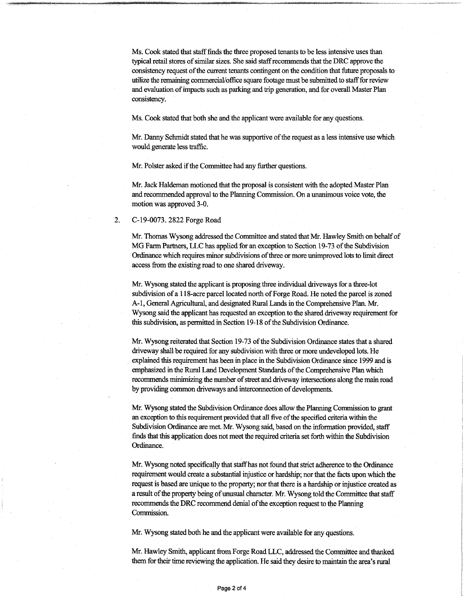Ms. Cook stated that staff finds the three proposed tenants to be less intensive uses than typical retail stores of similar sizes. She said staff recommends that the DRC approve the consistency request of the current tenants contingent on the condition that future proposals to utilize the remaining commercial/office square footage must be submitted to staff for review and evaluation ofimpacts such as parking and trip generation, and for overall Master Plan consistency.

Ms. Cook stated that both she and the applicant were available for any questions.

Mr. Danny Schmidt stated that he was supportive of the request as a less intensive use which would generate less traffic.

Mr. Polster asked if the Committee had any further questions.

Mr. Jack Haldeman motioned that the proposal is consistent with the adopted Master Plan and recommended approval to the Planning Commission. On a unanimous voice vote, the motion was approved 3-0.

2. C-19-0073. 2822 Forge Road

Mr. Thomas Wysong addressed the Committee and stated that Mr. Hawley Smith on behalfof MG Farm Partners, LLC has applied for an exception to Section 19-73 of the Subdivision Ordinance which requires minor subdivisions of three or more unimproved lots to limit direct access from the existing road to one shared driveway.

Mr. Wysong stated the applicant is proposing three individual driveways for a three-lot subdivision of a 118-acre parcel located north of Forge Road. He noted the parcel is zoned A-l, General Agricultural, and designated Rural Lands in the Comprehensive Plan. Mr. Wysong said the applicant has requested an exception to the shared driveway requirement for this subdivision, as permitted in Section 19-18 of the Subdivision Ordinance.

Mr. Wysong reiterated that Section 19-73 of the Subdivision Ordinance states that a shared driveway shall be required for any subdivision with three or more undeveloped lots. He explained this requirement has been in place in the Subdivision Ordinance since 1999 and is emphasized in the Rural Land Development Standards of the Comprehensive Plan which recommends minimizing the number of street and driveway intersections along the main road by providing common driveways and interconnection of developments.

Mr. Wysong stated the Subdivision Ordinance does allow the Planning Commission to grant an exception to this requirement provided that all five of the specified criteria within the Subdivision Ordinance are met. Mr. Wysong said, based on the information provided, staff finds that this application does not meet the required criteria set forth within the Subdivision Ordinance.

Mr. Wysong noted specifically that staff has not found that strict adherence to the Ordinance requirement would create a substantial injustice or hardship; nor that the facts upon which the request is based are unique to the property; nor that there is a hardship or injustice created as a result of the property being of unusual character. Mr. Wysong told the Committee that staff recommends the DRC recommend denial of the exception request to the Planning Commission.

Mr. Wysong stated both he and the applicant were available for any questions.

Mr. Hawley Smith, applicant from Forge Road LLC, addressed the Committee and thanked them for their time reviewing the application. He said they desire to maintain the area's rural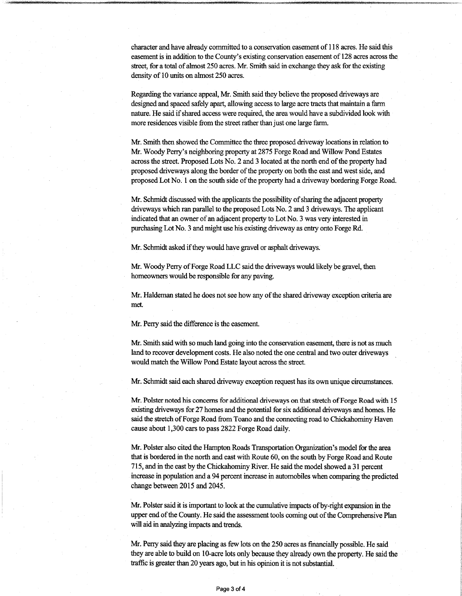character and have already committed to a conservation easement of 118 acres. He said this easementis in addition to the County's existing conservation easement of 128 acres across the street, for a total of almost 250 acres. Mr. Smith said in exchange they ask for the existing density of 10 units on almost 250 acres.

Regarding the variance appeal, Mr. Smith said they believe the proposed driveways are designed and spaced safely apart, allowing access to large acre tracts that maintain a farm nature. He said if shared access were required, the area would have a subdivided look with more residences visible from the street rather than just one large farm.

Mr. Smith then showed the Committee the three proposed driveway locations in relation to Mr. Woody Perry's neighboring property at 2875 Forge Road and Willow Pond Estates across the street. Proposed Lots No. 2 and 3 located at the north end of the property had proposed driveways along the border ofthe property on both the east and west side, and proposed Lot No. 1 on the south side of the property had a driveway bordering Forge Road.

Mr. Schmidt discussed with the applicants the possibility of sharing the adjacent property driveways which ran parallel to the proposed Lots No. 2 and 3 driveways. The applicant indicated that an owner of an adjacent property to Lot No. 3 was very interested in purchasing Lot No. 3 and might use his existing driveway as entry onto Forge Rd.

Mr. Schmidt asked if they would have gravel or asphalt driveways.

Mr. Woody Perry of Forge Road LLC said the driveways would likely be gravel, then homeowners would be responsible for any paving.

Mr. Haldeman stated he does not see how any of the shared driveway exception criteria are met.

Mr. Perry said the difference is the easement.

Mr. Smith said with so much land going into the conservation easement, there is not as much land to recover development costs. He also noted the one central and two outer driveways would match the Willow Pond Estate layout across the street.

Mr. Schmidt said each shared driveway exception request has its own unique circumstances.

Mr. Polster noted his concerns for additional driveways on that stretch of Forge Road with 15 existing driveways for 27 homes and the potential for six additional driveways and homes. He said the stretch of Forge Road from Toano and the connecting road to Chickahominy Haven cause about 1,300 cars to pass 2822 Forge Road daily.

Mr. Polster also cited the Hampton Roads Transportation Organization's model for the area thatis bordered in the north and east with Route 60, on the south by Forge Road and Route 715, and in the east by the Chickahominy River. He said the model showed a 31 percent increase in population and a 94 percent increase in automobiles when comparing the predicted change between 2015 and 2045.

Mr. Polster said it is important to look at the cumulative impacts of by-right expansion in the upper end of the County. He said the assessment tools coming out of the Comprehensive Plan will aid in analyzing impacts and trends.

Mr. Perry said they are placing as few lots on the 250 acres as financially possible. He said they are able to build on 10-acre lots only because they already own the property. He said the traffic is greater than 20 years ago, but in his opinion it is not substantial.